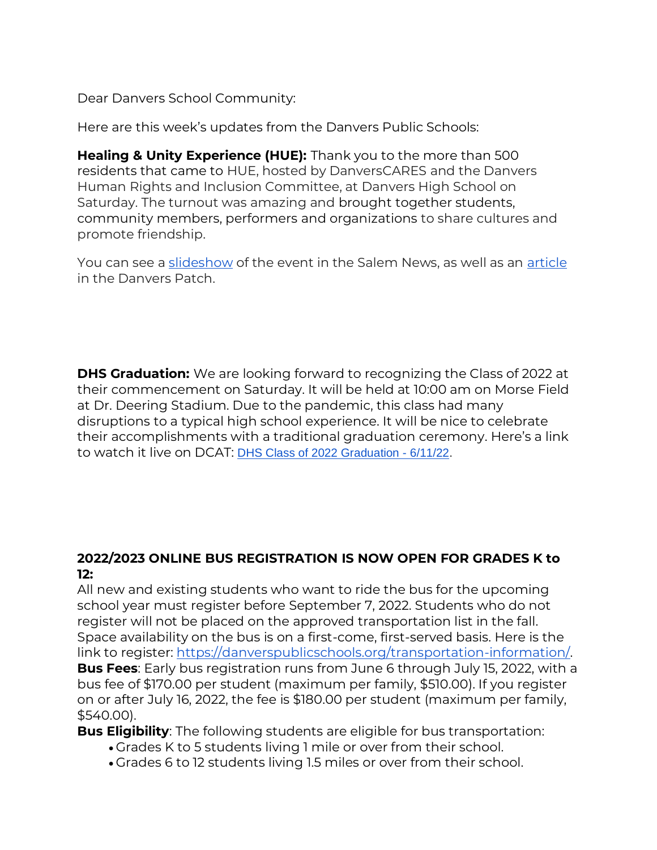Dear Danvers School Community:

Here are this week's updates from the Danvers Public Schools:

**Healing & Unity Experience (HUE):** Thank you to the more than 500 residents that came to HUE, hosted by DanversCARES and the Danvers Human Rights and Inclusion Committee, at Danvers High School on Saturday. The turnout was amazing and brought together students, community members, performers and organizations to share cultures and promote friendship.

You can see a [slideshow](https://www.salemnews.com/community/slideshow-danvers-healing-and-unity-experience-hue-takes-place-at-danvers-high/collection_f110ff64-e4d0-11ec-9cfd-0f960d64af5a.html) of the event in the Salem News, as well as an [article](https://patch.com/massachusetts/danvers/danvers-healing-unity-event-draws-more-500-attendees) in the Danvers Patch.

**DHS Graduation:** We are looking forward to recognizing the Class of 2022 at their commencement on Saturday. It will be held at 10:00 am on Morse Field at Dr. Deering Stadium. Due to the pandemic, this class had many disruptions to a typical high school experience. It will be nice to celebrate their accomplishments with a traditional graduation ceremony. Here's a link to watch it live on DCAT: [DHS Class of 2022 Graduation -](https://youtu.be/qK7QZ8nVr2E) 6/11/22.

## **2022/2023 ONLINE BUS REGISTRATION IS NOW OPEN FOR GRADES K to 12:**

All new and existing students who want to ride the bus for the upcoming school year must register before September 7, 2022. Students who do not register will not be placed on the approved transportation list in the fall. Space availability on the bus is on a first-come, first-served basis. Here is the link to register: [https://danverspublicschools.org/transportation-information/.](https://danverspublicschools.org/transportation-information/) **Bus Fees**: Early bus registration runs from June 6 through July 15, 2022, with a bus fee of \$170.00 per student (maximum per family, \$510.00). If you register on or after July 16, 2022, the fee is \$180.00 per student (maximum per family, \$540.00).

**Bus Eligibility**: The following students are eligible for bus transportation:

- Grades K to 5 students living 1 mile or over from their school.
- Grades 6 to 12 students living 1.5 miles or over from their school.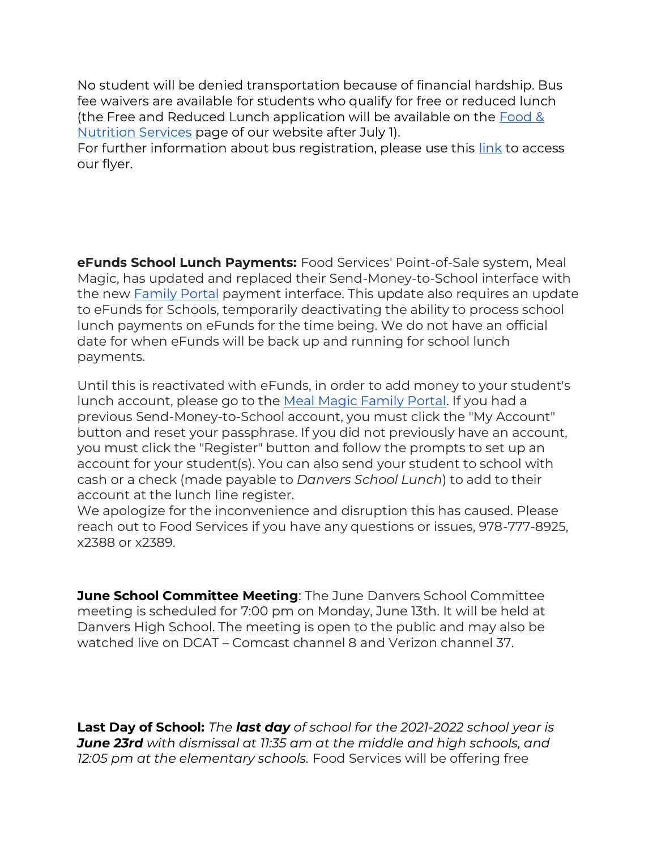No student will be denied transportation because of financial hardship. Bus fee waivers are available for students who qualify for free or reduced lunch (the Free and Reduced Lunch application will be available on the [Food &](https://www.schoolnutritionandfitness.com/index.php?sid=1210112058116103)  [Nutrition Services](https://www.schoolnutritionandfitness.com/index.php?sid=1210112058116103) page of our website after July 1).

For further information about bus registration, please use this [link](https://danverspublicschools.org/blog/bus-registration-for-22-23/) to access our flyer.

**eFunds School Lunch Payments:** Food Services' Point-of-Sale system, Meal Magic, has updated and replaced their Send-Money-to-School interface with the new [Family Portal](https://danvers.familyportal.cloud/) payment interface. This update also requires an update to eFunds for Schools, temporarily deactivating the ability to process school lunch payments on eFunds for the time being. We do not have an official date for when eFunds will be back up and running for school lunch payments.

Until this is reactivated with eFunds, in order to add money to your student's lunch account, please go to the [Meal Magic Family Portal.](https://danvers.familyportal.cloud/) If you had a previous Send-Money-to-School account, you must click the "My Account" button and reset your passphrase. If you did not previously have an account, you must click the "Register" button and follow the prompts to set up an account for your student(s). You can also send your student to school with cash or a check (made payable to *Danvers School Lunch*) to add to their account at the lunch line register.

We apologize for the inconvenience and disruption this has caused. Please reach out to Food Services if you have any questions or issues, 978-777-8925, x2388 or x2389.

**June School Committee Meeting**: The June Danvers School Committee meeting is scheduled for 7:00 pm on Monday, June 13th. It will be held at Danvers High School. The meeting is open to the public and may also be watched live on DCAT – Comcast channel 8 and Verizon channel 37.

**Last Day of School:** *The last day of school for the 2021-2022 school year is June 23rd with dismissal at 11:35 am at the middle and high schools, and 12:05 pm at the elementary schools.* Food Services will be offering free